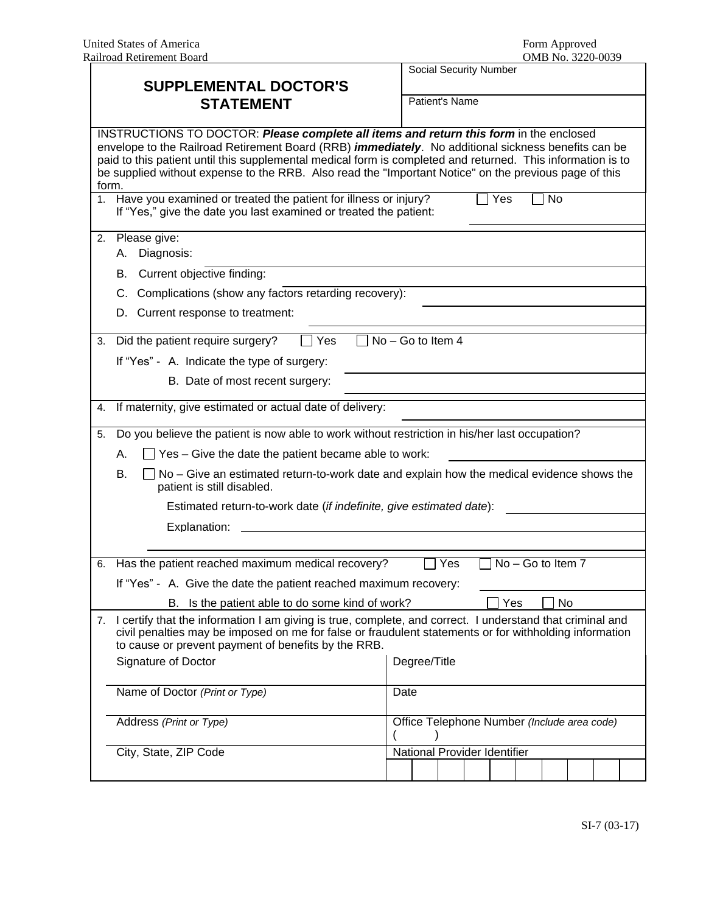|                                                                                                                                                                                                                                                                                                                                                                                                                                        |                                                                                                                                                                                                                                                                                                                   |                                             |                     |  |  | Social Security Number       |  |  |  |  |  |  |
|----------------------------------------------------------------------------------------------------------------------------------------------------------------------------------------------------------------------------------------------------------------------------------------------------------------------------------------------------------------------------------------------------------------------------------------|-------------------------------------------------------------------------------------------------------------------------------------------------------------------------------------------------------------------------------------------------------------------------------------------------------------------|---------------------------------------------|---------------------|--|--|------------------------------|--|--|--|--|--|--|
| <b>SUPPLEMENTAL DOCTOR'S</b><br><b>STATEMENT</b>                                                                                                                                                                                                                                                                                                                                                                                       |                                                                                                                                                                                                                                                                                                                   |                                             |                     |  |  |                              |  |  |  |  |  |  |
|                                                                                                                                                                                                                                                                                                                                                                                                                                        |                                                                                                                                                                                                                                                                                                                   |                                             | Patient's Name      |  |  |                              |  |  |  |  |  |  |
| INSTRUCTIONS TO DOCTOR: Please complete all items and return this form in the enclosed<br>envelope to the Railroad Retirement Board (RRB) <i>immediately</i> . No additional sickness benefits can be<br>paid to this patient until this supplemental medical form is completed and returned. This information is to<br>be supplied without expense to the RRB. Also read the "Important Notice" on the previous page of this<br>form. |                                                                                                                                                                                                                                                                                                                   |                                             |                     |  |  |                              |  |  |  |  |  |  |
|                                                                                                                                                                                                                                                                                                                                                                                                                                        | 1. Have you examined or treated the patient for illness or injury?<br>Yes<br>No<br>If "Yes," give the date you last examined or treated the patient:                                                                                                                                                              |                                             |                     |  |  |                              |  |  |  |  |  |  |
|                                                                                                                                                                                                                                                                                                                                                                                                                                        | 2. Please give:<br>Diagnosis:<br>А.                                                                                                                                                                                                                                                                               |                                             |                     |  |  |                              |  |  |  |  |  |  |
|                                                                                                                                                                                                                                                                                                                                                                                                                                        | Current objective finding:<br>В.                                                                                                                                                                                                                                                                                  |                                             |                     |  |  |                              |  |  |  |  |  |  |
|                                                                                                                                                                                                                                                                                                                                                                                                                                        | Complications (show any factors retarding recovery):<br>C.                                                                                                                                                                                                                                                        |                                             |                     |  |  |                              |  |  |  |  |  |  |
|                                                                                                                                                                                                                                                                                                                                                                                                                                        | Current response to treatment:<br>D.                                                                                                                                                                                                                                                                              |                                             |                     |  |  |                              |  |  |  |  |  |  |
| 3.                                                                                                                                                                                                                                                                                                                                                                                                                                     | Did the patient require surgery?<br>Yes                                                                                                                                                                                                                                                                           |                                             | $No - Go$ to Item 4 |  |  |                              |  |  |  |  |  |  |
|                                                                                                                                                                                                                                                                                                                                                                                                                                        | If "Yes" - A. Indicate the type of surgery:                                                                                                                                                                                                                                                                       |                                             |                     |  |  |                              |  |  |  |  |  |  |
|                                                                                                                                                                                                                                                                                                                                                                                                                                        | B. Date of most recent surgery:                                                                                                                                                                                                                                                                                   |                                             |                     |  |  |                              |  |  |  |  |  |  |
| 4.                                                                                                                                                                                                                                                                                                                                                                                                                                     | If maternity, give estimated or actual date of delivery:                                                                                                                                                                                                                                                          |                                             |                     |  |  |                              |  |  |  |  |  |  |
| 5.                                                                                                                                                                                                                                                                                                                                                                                                                                     | Do you believe the patient is now able to work without restriction in his/her last occupation?                                                                                                                                                                                                                    |                                             |                     |  |  |                              |  |  |  |  |  |  |
|                                                                                                                                                                                                                                                                                                                                                                                                                                        | $\Box$ Yes – Give the date the patient became able to work:<br>А.                                                                                                                                                                                                                                                 |                                             |                     |  |  |                              |  |  |  |  |  |  |
|                                                                                                                                                                                                                                                                                                                                                                                                                                        | В.<br>$\Box$ No – Give an estimated return-to-work date and explain how the medical evidence shows the<br>patient is still disabled.                                                                                                                                                                              |                                             |                     |  |  |                              |  |  |  |  |  |  |
|                                                                                                                                                                                                                                                                                                                                                                                                                                        | Estimated return-to-work date (if indefinite, give estimated date):                                                                                                                                                                                                                                               |                                             |                     |  |  |                              |  |  |  |  |  |  |
|                                                                                                                                                                                                                                                                                                                                                                                                                                        | Explanation:                                                                                                                                                                                                                                                                                                      |                                             |                     |  |  |                              |  |  |  |  |  |  |
|                                                                                                                                                                                                                                                                                                                                                                                                                                        |                                                                                                                                                                                                                                                                                                                   |                                             |                     |  |  |                              |  |  |  |  |  |  |
|                                                                                                                                                                                                                                                                                                                                                                                                                                        | 6. Has the patient reached maximum medical recovery?                                                                                                                                                                                                                                                              | No - Go to Item 7<br>Yes                    |                     |  |  |                              |  |  |  |  |  |  |
|                                                                                                                                                                                                                                                                                                                                                                                                                                        | If "Yes" - A. Give the date the patient reached maximum recovery:                                                                                                                                                                                                                                                 |                                             |                     |  |  |                              |  |  |  |  |  |  |
|                                                                                                                                                                                                                                                                                                                                                                                                                                        | Yes<br>No<br>Is the patient able to do some kind of work?<br>В.                                                                                                                                                                                                                                                   |                                             |                     |  |  |                              |  |  |  |  |  |  |
| 7.                                                                                                                                                                                                                                                                                                                                                                                                                                     | I certify that the information I am giving is true, complete, and correct. I understand that criminal and<br>civil penalties may be imposed on me for false or fraudulent statements or for withholding information<br>to cause or prevent payment of benefits by the RRB.<br>Signature of Doctor<br>Degree/Title |                                             |                     |  |  |                              |  |  |  |  |  |  |
|                                                                                                                                                                                                                                                                                                                                                                                                                                        |                                                                                                                                                                                                                                                                                                                   |                                             |                     |  |  |                              |  |  |  |  |  |  |
|                                                                                                                                                                                                                                                                                                                                                                                                                                        | Name of Doctor (Print or Type)                                                                                                                                                                                                                                                                                    | Date                                        |                     |  |  |                              |  |  |  |  |  |  |
|                                                                                                                                                                                                                                                                                                                                                                                                                                        | Address (Print or Type)                                                                                                                                                                                                                                                                                           | Office Telephone Number (Include area code) |                     |  |  |                              |  |  |  |  |  |  |
|                                                                                                                                                                                                                                                                                                                                                                                                                                        | City, State, ZIP Code                                                                                                                                                                                                                                                                                             |                                             |                     |  |  | National Provider Identifier |  |  |  |  |  |  |
|                                                                                                                                                                                                                                                                                                                                                                                                                                        |                                                                                                                                                                                                                                                                                                                   |                                             |                     |  |  |                              |  |  |  |  |  |  |